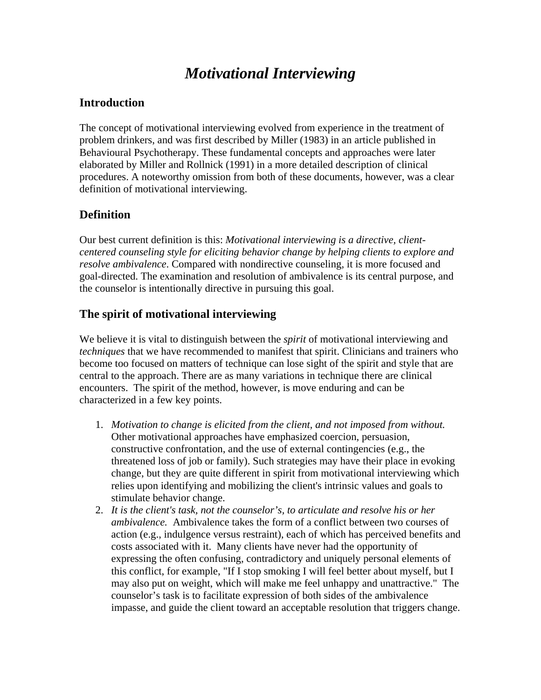# *Motivational Interviewing*

## **Introduction**

The concept of motivational interviewing evolved from experience in the treatment of problem drinkers, and was first described by Miller (1983) in an article published in Behavioural Psychotherapy. These fundamental concepts and approaches were later elaborated by Miller and Rollnick (1991) in a more detailed description of clinical procedures. A noteworthy omission from both of these documents, however, was a clear definition of motivational interviewing.

# **Definition**

Our best current definition is this: *Motivational interviewing is a directive, clientcentered counseling style for eliciting behavior change by helping clients to explore and resolve ambivalence*. Compared with nondirective counseling, it is more focused and goal-directed. The examination and resolution of ambivalence is its central purpose, and the counselor is intentionally directive in pursuing this goal.

## **The spirit of motivational interviewing**

We believe it is vital to distinguish between the *spirit* of motivational interviewing and *techniques* that we have recommended to manifest that spirit. Clinicians and trainers who become too focused on matters of technique can lose sight of the spirit and style that are central to the approach. There are as many variations in technique there are clinical encounters. The spirit of the method, however, is move enduring and can be characterized in a few key points.

- 1. *Motivation to change is elicited from the client, and not imposed from without.* Other motivational approaches have emphasized coercion, persuasion, constructive confrontation, and the use of external contingencies (e.g., the threatened loss of job or family). Such strategies may have their place in evoking change, but they are quite different in spirit from motivational interviewing which relies upon identifying and mobilizing the client's intrinsic values and goals to stimulate behavior change.
- 2. *It is the client's task, not the counselor's, to articulate and resolve his or her ambivalence.* Ambivalence takes the form of a conflict between two courses of action (e.g., indulgence versus restraint), each of which has perceived benefits and costs associated with it. Many clients have never had the opportunity of expressing the often confusing, contradictory and uniquely personal elements of this conflict, for example, "If I stop smoking I will feel better about myself, but I may also put on weight, which will make me feel unhappy and unattractive." The counselor's task is to facilitate expression of both sides of the ambivalence impasse, and guide the client toward an acceptable resolution that triggers change.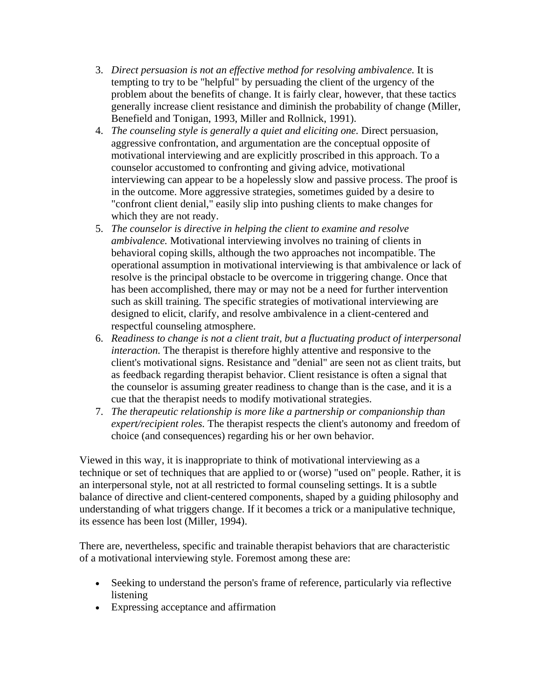- 3. *Direct persuasion is not an effective method for resolving ambivalence.* It is tempting to try to be "helpful" by persuading the client of the urgency of the problem about the benefits of change. It is fairly clear, however, that these tactics generally increase client resistance and diminish the probability of change (Miller, Benefield and Tonigan, 1993, Miller and Rollnick, 1991).
- 4. *The counseling style is generally a quiet and eliciting one.* Direct persuasion, aggressive confrontation, and argumentation are the conceptual opposite of motivational interviewing and are explicitly proscribed in this approach. To a counselor accustomed to confronting and giving advice, motivational interviewing can appear to be a hopelessly slow and passive process. The proof is in the outcome. More aggressive strategies, sometimes guided by a desire to "confront client denial," easily slip into pushing clients to make changes for which they are not ready.
- 5. *The counselor is directive in helping the client to examine and resolve ambivalence.* Motivational interviewing involves no training of clients in behavioral coping skills, although the two approaches not incompatible. The operational assumption in motivational interviewing is that ambivalence or lack of resolve is the principal obstacle to be overcome in triggering change. Once that has been accomplished, there may or may not be a need for further intervention such as skill training. The specific strategies of motivational interviewing are designed to elicit, clarify, and resolve ambivalence in a client-centered and respectful counseling atmosphere.
- 6. *Readiness to change is not a client trait, but a fluctuating product of interpersonal interaction.* The therapist is therefore highly attentive and responsive to the client's motivational signs. Resistance and "denial" are seen not as client traits, but as feedback regarding therapist behavior. Client resistance is often a signal that the counselor is assuming greater readiness to change than is the case, and it is a cue that the therapist needs to modify motivational strategies.
- 7. *The therapeutic relationship is more like a partnership or companionship than expert/recipient roles.* The therapist respects the client's autonomy and freedom of choice (and consequences) regarding his or her own behavior.

Viewed in this way, it is inappropriate to think of motivational interviewing as a technique or set of techniques that are applied to or (worse) "used on" people. Rather, it is an interpersonal style, not at all restricted to formal counseling settings. It is a subtle balance of directive and client-centered components, shaped by a guiding philosophy and understanding of what triggers change. If it becomes a trick or a manipulative technique, its essence has been lost (Miller, 1994).

There are, nevertheless, specific and trainable therapist behaviors that are characteristic of a motivational interviewing style. Foremost among these are:

- Seeking to understand the person's frame of reference, particularly via reflective listening
- Expressing acceptance and affirmation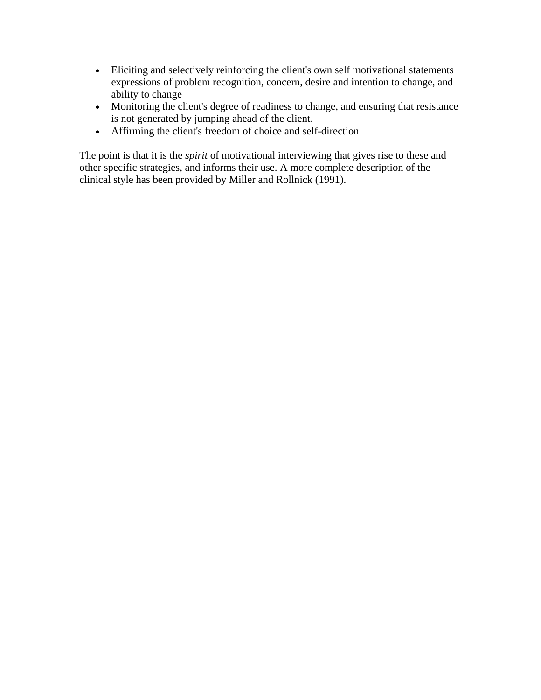- Eliciting and selectively reinforcing the client's own self motivational statements expressions of problem recognition, concern, desire and intention to change, and ability to change
- Monitoring the client's degree of readiness to change, and ensuring that resistance is not generated by jumping ahead of the client.
- Affirming the client's freedom of choice and self-direction

The point is that it is the *spirit* of motivational interviewing that gives rise to these and other specific strategies, and informs their use. A more complete description of the clinical style has been provided by Miller and Rollnick (1991).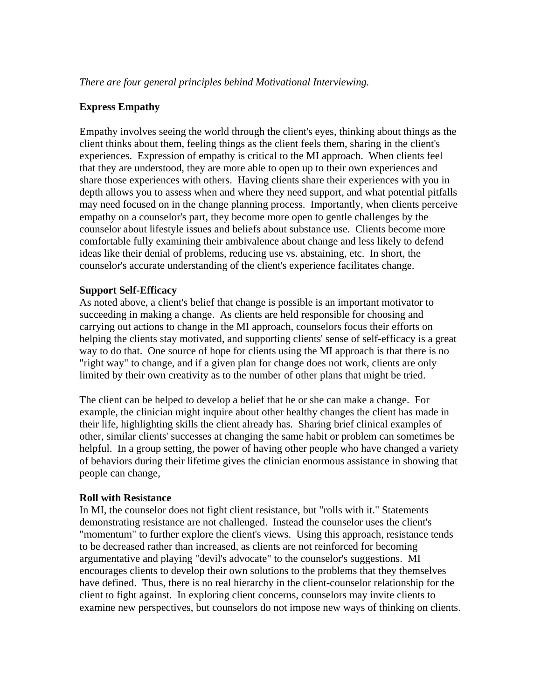#### *There are four general principles behind Motivational Interviewing.*

#### **Express Empathy**

Empathy involves seeing the world through the client's eyes, thinking about things as the client thinks about them, feeling things as the client feels them, sharing in the client's experiences. Expression of empathy is critical to the MI approach. When clients feel that they are understood, they are more able to open up to their own experiences and share those experiences with others. Having clients share their experiences with you in depth allows you to assess when and where they need support, and what potential pitfalls may need focused on in the change planning process. Importantly, when clients perceive empathy on a counselor's part, they become more open to gentle challenges by the counselor about lifestyle issues and beliefs about substance use. Clients become more comfortable fully examining their ambivalence about change and less likely to defend ideas like their denial of problems, reducing use vs. abstaining, etc. In short, the counselor's accurate understanding of the client's experience facilitates change.

#### **Support Self-Efficacy**

As noted above, a client's belief that change is possible is an important motivator to succeeding in making a change. As clients are held responsible for choosing and carrying out actions to change in the MI approach, counselors focus their efforts on helping the clients stay motivated, and supporting clients' sense of self-efficacy is a great way to do that. One source of hope for clients using the MI approach is that there is no "right way" to change, and if a given plan for change does not work, clients are only limited by their own creativity as to the number of other plans that might be tried.

The client can be helped to develop a belief that he or she can make a change. For example, the clinician might inquire about other healthy changes the client has made in their life, highlighting skills the client already has. Sharing brief clinical examples of other, similar clients' successes at changing the same habit or problem can sometimes be helpful. In a group setting, the power of having other people who have changed a variety of behaviors during their lifetime gives the clinician enormous assistance in showing that people can change,

#### **Roll with Resistance**

In MI, the counselor does not fight client resistance, but "rolls with it." Statements demonstrating resistance are not challenged. Instead the counselor uses the client's "momentum" to further explore the client's views. Using this approach, resistance tends to be decreased rather than increased, as clients are not reinforced for becoming argumentative and playing "devil's advocate" to the counselor's suggestions. MI encourages clients to develop their own solutions to the problems that they themselves have defined. Thus, there is no real hierarchy in the client-counselor relationship for the client to fight against. In exploring client concerns, counselors may invite clients to examine new perspectives, but counselors do not impose new ways of thinking on clients.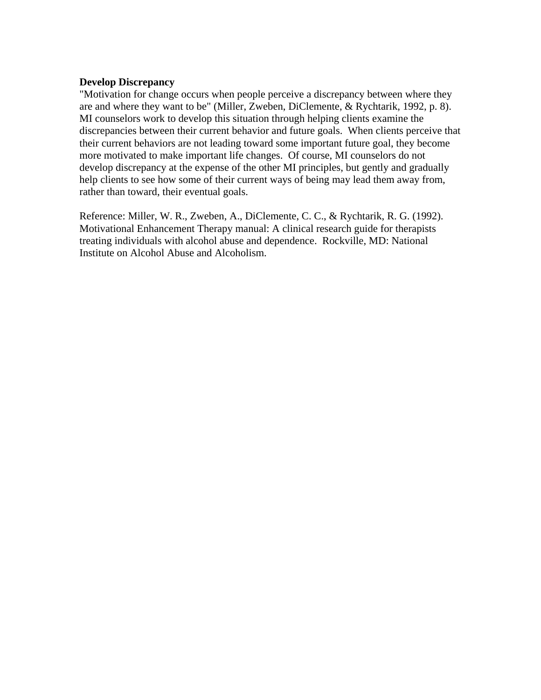#### **Develop Discrepancy**

"Motivation for change occurs when people perceive a discrepancy between where they are and where they want to be" (Miller, Zweben, DiClemente, & Rychtarik, 1992, p. 8). MI counselors work to develop this situation through helping clients examine the discrepancies between their current behavior and future goals. When clients perceive that their current behaviors are not leading toward some important future goal, they become more motivated to make important life changes. Of course, MI counselors do not develop discrepancy at the expense of the other MI principles, but gently and gradually help clients to see how some of their current ways of being may lead them away from, rather than toward, their eventual goals.

Reference: Miller, W. R., Zweben, A., DiClemente, C. C., & Rychtarik, R. G. (1992). Motivational Enhancement Therapy manual: A clinical research guide for therapists treating individuals with alcohol abuse and dependence. Rockville, MD: National Institute on Alcohol Abuse and Alcoholism.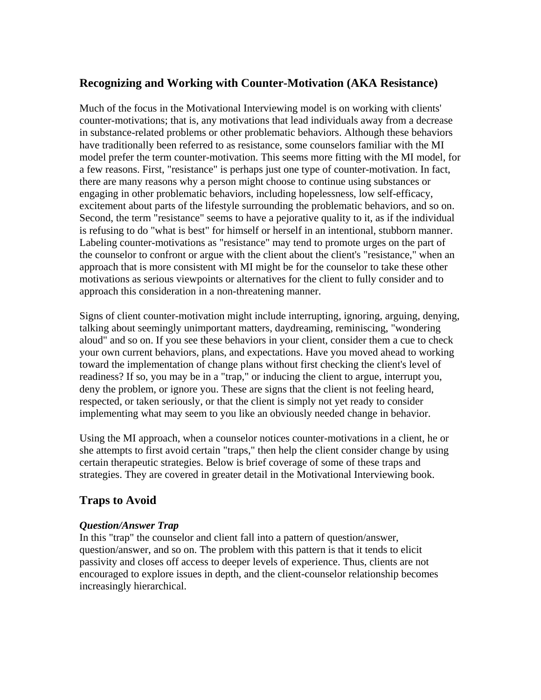## **Recognizing and Working with Counter-Motivation (AKA Resistance)**

Much of the focus in the Motivational Interviewing model is on working with clients' counter-motivations; that is, any motivations that lead individuals away from a decrease in substance-related problems or other problematic behaviors. Although these behaviors have traditionally been referred to as resistance, some counselors familiar with the MI model prefer the term counter-motivation. This seems more fitting with the MI model, for a few reasons. First, "resistance" is perhaps just one type of counter-motivation. In fact, there are many reasons why a person might choose to continue using substances or engaging in other problematic behaviors, including hopelessness, low self-efficacy, excitement about parts of the lifestyle surrounding the problematic behaviors, and so on. Second, the term "resistance" seems to have a pejorative quality to it, as if the individual is refusing to do "what is best" for himself or herself in an intentional, stubborn manner. Labeling counter-motivations as "resistance" may tend to promote urges on the part of the counselor to confront or argue with the client about the client's "resistance," when an approach that is more consistent with MI might be for the counselor to take these other motivations as serious viewpoints or alternatives for the client to fully consider and to approach this consideration in a non-threatening manner.

Signs of client counter-motivation might include interrupting, ignoring, arguing, denying, talking about seemingly unimportant matters, daydreaming, reminiscing, "wondering aloud" and so on. If you see these behaviors in your client, consider them a cue to check your own current behaviors, plans, and expectations. Have you moved ahead to working toward the implementation of change plans without first checking the client's level of readiness? If so, you may be in a "trap," or inducing the client to argue, interrupt you, deny the problem, or ignore you. These are signs that the client is not feeling heard, respected, or taken seriously, or that the client is simply not yet ready to consider implementing what may seem to you like an obviously needed change in behavior.

Using the MI approach, when a counselor notices counter-motivations in a client, he or she attempts to first avoid certain "traps," then help the client consider change by using certain therapeutic strategies. Below is brief coverage of some of these traps and strategies. They are covered in greater detail in the Motivational Interviewing book.

# **Traps to Avoid**

## *Question/Answer Trap*

In this "trap" the counselor and client fall into a pattern of question/answer, question/answer, and so on. The problem with this pattern is that it tends to elicit passivity and closes off access to deeper levels of experience. Thus, clients are not encouraged to explore issues in depth, and the client-counselor relationship becomes increasingly hierarchical.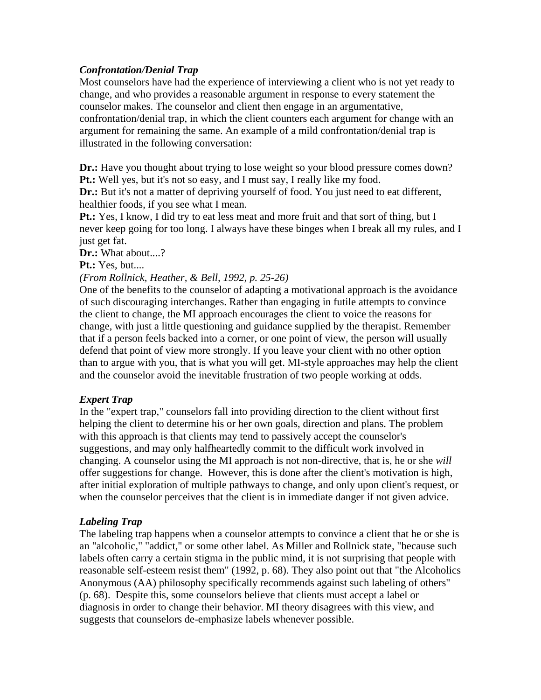#### *Confrontation/Denial Trap*

Most counselors have had the experience of interviewing a client who is not yet ready to change, and who provides a reasonable argument in response to every statement the counselor makes. The counselor and client then engage in an argumentative, confrontation/denial trap, in which the client counters each argument for change with an argument for remaining the same. An example of a mild confrontation/denial trap is illustrated in the following conversation:

**Dr.:** Have you thought about trying to lose weight so your blood pressure comes down? **Pt.:** Well yes, but it's not so easy, and I must say, I really like my food.

**Dr.:** But it's not a matter of depriving yourself of food. You just need to eat different, healthier foods, if you see what I mean.

Pt.: Yes, I know, I did try to eat less meat and more fruit and that sort of thing, but I never keep going for too long. I always have these binges when I break all my rules, and I just get fat.

**Dr.:** What about....?

**Pt.:** Yes, but....

#### *(From Rollnick, Heather, & Bell, 1992, p. 25-26)*

One of the benefits to the counselor of adapting a motivational approach is the avoidance of such discouraging interchanges. Rather than engaging in futile attempts to convince the client to change, the MI approach encourages the client to voice the reasons for change, with just a little questioning and guidance supplied by the therapist. Remember that if a person feels backed into a corner, or one point of view, the person will usually defend that point of view more strongly. If you leave your client with no other option than to argue with you, that is what you will get. MI-style approaches may help the client and the counselor avoid the inevitable frustration of two people working at odds.

#### *Expert Trap*

In the "expert trap," counselors fall into providing direction to the client without first helping the client to determine his or her own goals, direction and plans. The problem with this approach is that clients may tend to passively accept the counselor's suggestions, and may only halfheartedly commit to the difficult work involved in changing. A counselor using the MI approach is not non-directive, that is, he or she *will* offer suggestions for change. However, this is done after the client's motivation is high, after initial exploration of multiple pathways to change, and only upon client's request, or when the counselor perceives that the client is in immediate danger if not given advice.

#### *Labeling Trap*

The labeling trap happens when a counselor attempts to convince a client that he or she is an "alcoholic," "addict," or some other label. As Miller and Rollnick state, "because such labels often carry a certain stigma in the public mind, it is not surprising that people with reasonable self-esteem resist them" (1992, p. 68). They also point out that "the Alcoholics Anonymous (AA) philosophy specifically recommends against such labeling of others" (p. 68). Despite this, some counselors believe that clients must accept a label or diagnosis in order to change their behavior. MI theory disagrees with this view, and suggests that counselors de-emphasize labels whenever possible.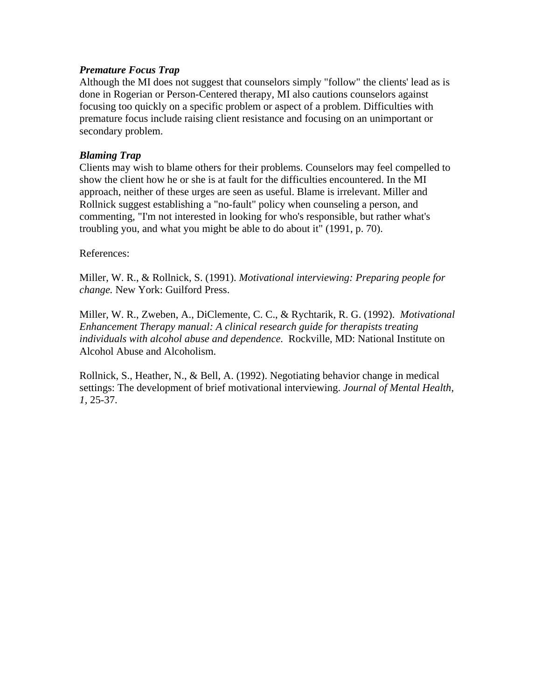#### *Premature Focus Trap*

Although the MI does not suggest that counselors simply "follow" the clients' lead as is done in Rogerian or Person-Centered therapy, MI also cautions counselors against focusing too quickly on a specific problem or aspect of a problem. Difficulties with premature focus include raising client resistance and focusing on an unimportant or secondary problem.

#### *Blaming Trap*

Clients may wish to blame others for their problems. Counselors may feel compelled to show the client how he or she is at fault for the difficulties encountered. In the MI approach, neither of these urges are seen as useful. Blame is irrelevant. Miller and Rollnick suggest establishing a "no-fault" policy when counseling a person, and commenting, "I'm not interested in looking for who's responsible, but rather what's troubling you, and what you might be able to do about it" (1991, p. 70).

#### References:

Miller, W. R., & Rollnick, S. (1991). *Motivational interviewing: Preparing people for change.* New York: Guilford Press.

Miller, W. R., Zweben, A., DiClemente, C. C., & Rychtarik, R. G. (1992). *Motivational Enhancement Therapy manual: A clinical research guide for therapists treating individuals with alcohol abuse and dependence.* Rockville, MD: National Institute on Alcohol Abuse and Alcoholism.

Rollnick, S., Heather, N., & Bell, A. (1992). Negotiating behavior change in medical settings: The development of brief motivational interviewing. *Journal of Mental Health, 1,* 25-37.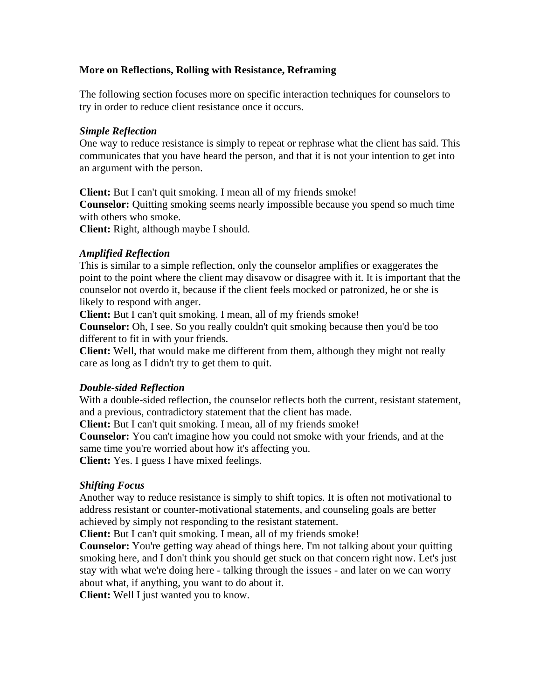#### **More on Reflections, Rolling with Resistance, Reframing**

The following section focuses more on specific interaction techniques for counselors to try in order to reduce client resistance once it occurs.

#### *Simple Reflection*

One way to reduce resistance is simply to repeat or rephrase what the client has said. This communicates that you have heard the person, and that it is not your intention to get into an argument with the person.

**Client:** But I can't quit smoking. I mean all of my friends smoke!

**Counselor:** Quitting smoking seems nearly impossible because you spend so much time with others who smoke.

**Client:** Right, although maybe I should.

#### *Amplified Reflection*

This is similar to a simple reflection, only the counselor amplifies or exaggerates the point to the point where the client may disavow or disagree with it. It is important that the counselor not overdo it, because if the client feels mocked or patronized, he or she is likely to respond with anger.

**Client:** But I can't quit smoking. I mean, all of my friends smoke!

**Counselor:** Oh, I see. So you really couldn't quit smoking because then you'd be too different to fit in with your friends.

**Client:** Well, that would make me different from them, although they might not really care as long as I didn't try to get them to quit.

#### *Double-sided Reflection*

With a double-sided reflection, the counselor reflects both the current, resistant statement, and a previous, contradictory statement that the client has made.

**Client:** But I can't quit smoking. I mean, all of my friends smoke!

**Counselor:** You can't imagine how you could not smoke with your friends, and at the same time you're worried about how it's affecting you.

**Client:** Yes. I guess I have mixed feelings.

## *Shifting Focus*

Another way to reduce resistance is simply to shift topics. It is often not motivational to address resistant or counter-motivational statements, and counseling goals are better achieved by simply not responding to the resistant statement.

**Client:** But I can't quit smoking. I mean, all of my friends smoke!

**Counselor:** You're getting way ahead of things here. I'm not talking about your quitting smoking here, and I don't think you should get stuck on that concern right now. Let's just stay with what we're doing here - talking through the issues - and later on we can worry about what, if anything, you want to do about it.

**Client:** Well I just wanted you to know.